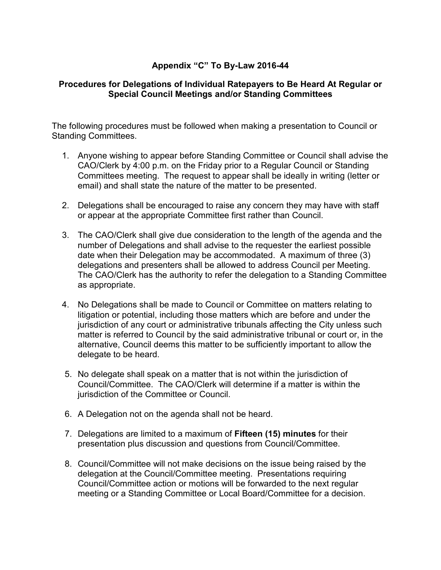## **Appendix "C" To By-Law 2016-44**

## **Procedures for Delegations of Individual Ratepayers to Be Heard At Regular or Special Council Meetings and/or Standing Committees**

The following procedures must be followed when making a presentation to Council or Standing Committees.

- 1. Anyone wishing to appear before Standing Committee or Council shall advise the CAO/Clerk by 4:00 p.m. on the Friday prior to a Regular Council or Standing Committees meeting. The request to appear shall be ideally in writing (letter or email) and shall state the nature of the matter to be presented.
- 2. Delegations shall be encouraged to raise any concern they may have with staff or appear at the appropriate Committee first rather than Council.
- 3. The CAO/Clerk shall give due consideration to the length of the agenda and the number of Delegations and shall advise to the requester the earliest possible date when their Delegation may be accommodated. A maximum of three (3) delegations and presenters shall be allowed to address Council per Meeting. The CAO/Clerk has the authority to refer the delegation to a Standing Committee as appropriate.
- 4. No Delegations shall be made to Council or Committee on matters relating to litigation or potential, including those matters which are before and under the jurisdiction of any court or administrative tribunals affecting the City unless such matter is referred to Council by the said administrative tribunal or court or, in the alternative, Council deems this matter to be sufficiently important to allow the delegate to be heard.
- 5. No delegate shall speak on a matter that is not within the jurisdiction of Council/Committee. The CAO/Clerk will determine if a matter is within the jurisdiction of the Committee or Council.
- 6. A Delegation not on the agenda shall not be heard.
- 7. Delegations are limited to a maximum of **Fifteen (15) minutes** for their presentation plus discussion and questions from Council/Committee.
- 8. Council/Committee will not make decisions on the issue being raised by the delegation at the Council/Committee meeting. Presentations requiring Council/Committee action or motions will be forwarded to the next regular meeting or a Standing Committee or Local Board/Committee for a decision.